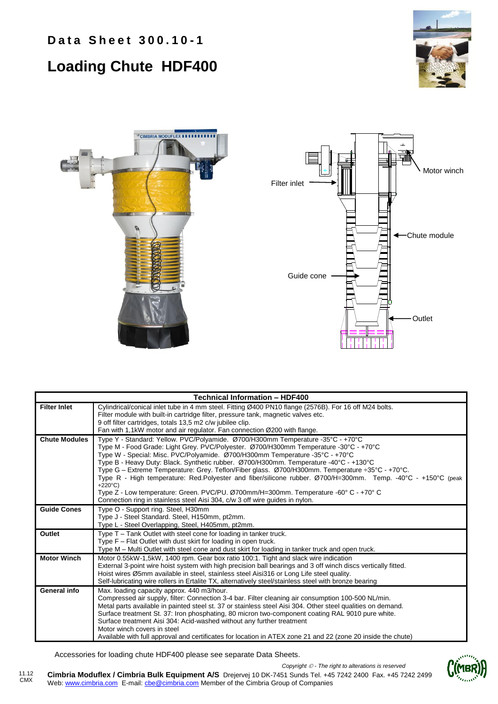# **Data Sheet 300.10-1**



## **Loading Chute HDF400**





|                      | <b>Technical Information - HDF400</b>                                                                                                                                                             |
|----------------------|---------------------------------------------------------------------------------------------------------------------------------------------------------------------------------------------------|
| <b>Filter Inlet</b>  | Cylindrical/conical inlet tube in 4 mm steel. Fitting Ø400 PN10 flange (2576B). For 16 off M24 bolts.<br>Filter module with built-in cartridge filter, pressure tank, magnetic valves etc.        |
|                      | 9 off filter cartridges, totals 13,5 m2 c/w jubilee clip.                                                                                                                                         |
|                      | Fan with 1,1kW motor and air regulator. Fan connection Ø200 with flange.                                                                                                                          |
| <b>Chute Modules</b> | Type Y - Standard: Yellow. PVC/Polyamide. Ø700/H300mm Temperature -35°C - +70°C                                                                                                                   |
|                      | Type M - Food Grade: Light Grey. PVC/Polyester. Ø700/H300mm Temperature -30°C - +70°C                                                                                                             |
|                      | Type W - Special: Misc. PVC/Polyamide. Ø700/H300mm Temperature -35°C - +70°C<br>Type B - Heavy Duty: Black. Synthetic rubber. Ø700/H300mm. Temperature -40°C - +130°C                             |
|                      | Type G - Extreme Temperature: Grey. Teflon/Fiber glass. Ø700/H300mm. Temperature ÷35°C - +70°C.                                                                                                   |
|                      | Type R - High temperature: Red.Polyester and fiber/silicone rubber. Ø700/H=300mm. Temp. -40°C - +150°C (peak                                                                                      |
|                      | $+220^{\circ}$ C)                                                                                                                                                                                 |
|                      | Type Z - Low temperature: Green. PVC/PU. Ø700mm/H=300mm. Temperature -60° C - +70° C<br>Connection ring in stainless steel Aisi 304, c/w 3 off wire quides in nylon.                              |
| <b>Guide Cones</b>   | Type O - Support ring. Steel, H30mm                                                                                                                                                               |
|                      | Type J - Steel Standard. Steel, H150mm, pt2mm.                                                                                                                                                    |
|                      | Type L - Steel Overlapping, Steel, H405mm, pt2mm.                                                                                                                                                 |
| Outlet               | Type T – Tank Outlet with steel cone for loading in tanker truck.                                                                                                                                 |
|                      | Type F - Flat Outlet with dust skirt for loading in open truck.                                                                                                                                   |
|                      | Type M – Multi Outlet with steel cone and dust skirt for loading in tanker truck and open truck.                                                                                                  |
| <b>Motor Winch</b>   | Motor 0.55kW-1,5kW, 1400 rpm. Gear box ratio 100:1. Tight and slack wire indication                                                                                                               |
|                      | External 3-point wire hoist system with high precision ball bearings and 3 off winch discs vertically fitted.                                                                                     |
|                      | Hoist wires Ø5mm available in steel, stainless steel Aisi316 or Long Life steel quality.<br>Self-lubricating wire rollers in Ertalite TX, alternatively steel/stainless steel with bronze bearing |
| General info         | Max. loading capacity approx. 440 m3/hour.                                                                                                                                                        |
|                      | Compressed air supply, filter: Connection 3-4 bar. Filter cleaning air consumption 100-500 NL/min.                                                                                                |
|                      | Metal parts available in painted steel st. 37 or stainless steel Aisi 304. Other steel qualities on demand.                                                                                       |
|                      | Surface treatment St. 37: Iron phosphating, 80 micron two-component coating RAL 9010 pure white.                                                                                                  |
|                      | Surface treatment Aisi 304: Acid-washed without any further treatment                                                                                                                             |
|                      | Motor winch covers in steel                                                                                                                                                                       |
|                      | Available with full approval and certificates for location in ATEX zone 21 and 22 (zone 20 inside the chute)                                                                                      |

Accessories for loading chute HDF400 please see separate Data Sheets.

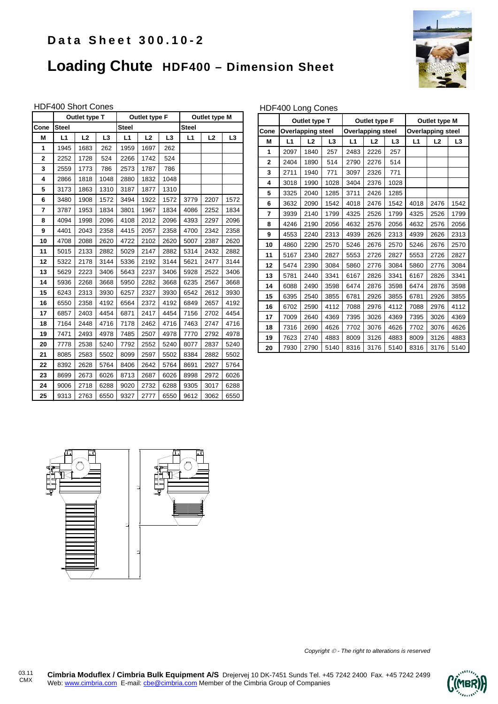### **Data Sheet 300.10-2**

## **Loading Chute HDF400 – Dimension Sheet**



#### HDF400 Short Cones

|                | Outlet type T |      |                | Outlet type F |      |                | Outlet type M |      |                |
|----------------|---------------|------|----------------|---------------|------|----------------|---------------|------|----------------|
| Cone           | <b>Steel</b>  |      |                | <b>Steel</b>  |      |                | <b>Steel</b>  |      |                |
| M              | L1            | L2   | L <sub>3</sub> | L1            | L2   | L <sub>3</sub> | L1            | L2   | L <sub>3</sub> |
| 1              | 1945          | 1683 | 262            | 1959          | 1697 | 262            |               |      |                |
| $\overline{2}$ | 2252          | 1728 | 524            | 2266          | 1742 | 524            |               |      |                |
| 3              | 2559          | 1773 | 786            | 2573          | 1787 | 786            |               |      |                |
| 4              | 2866          | 1818 | 1048           | 2880          | 1832 | 1048           |               |      |                |
| 5              | 3173          | 1863 | 1310           | 3187          | 1877 | 1310           |               |      |                |
| 6              | 3480          | 1908 | 1572           | 3494          | 1922 | 1572           | 3779          | 2207 | 1572           |
| 7              | 3787          | 1953 | 1834           | 3801          | 1967 | 1834           | 4086          | 2252 | 1834           |
| 8              | 4094          | 1998 | 2096           | 4108          | 2012 | 2096           | 4393          | 2297 | 2096           |
| 9              | 4401          | 2043 | 2358           | 4415          | 2057 | 2358           | 4700          | 2342 | 2358           |
| 10             | 4708          | 2088 | 2620           | 4722          | 2102 | 2620           | 5007          | 2387 | 2620           |
| 11             | 5015          | 2133 | 2882           | 5029          | 2147 | 2882           | 5314          | 2432 | 2882           |
| 12             | 5322          | 2178 | 3144           | 5336          | 2192 | 3144           | 5621          | 2477 | 3144           |
| 13             | 5629          | 2223 | 3406           | 5643          | 2237 | 3406           | 5928          | 2522 | 3406           |
| 14             | 5936          | 2268 | 3668           | 5950          | 2282 | 3668           | 6235          | 2567 | 3668           |
| 15             | 6243          | 2313 | 3930           | 6257          | 2327 | 3930           | 6542          | 2612 | 3930           |
| 16             | 6550          | 2358 | 4192           | 6564          | 2372 | 4192           | 6849          | 2657 | 4192           |
| 17             | 6857          | 2403 | 4454           | 6871          | 2417 | 4454           | 7156          | 2702 | 4454           |
| 18             | 7164          | 2448 | 4716           | 7178          | 2462 | 4716           | 7463          | 2747 | 4716           |
| 19             | 7471          | 2493 | 4978           | 7485          | 2507 | 4978           | 7770          | 2792 | 4978           |
| 20             | 7778          | 2538 | 5240           | 7792          | 2552 | 5240           | 8077          | 2837 | 5240           |
| 21             | 8085          | 2583 | 5502           | 8099          | 2597 | 5502           | 8384          | 2882 | 5502           |
| 22             | 8392          | 2628 | 5764           | 8406          | 2642 | 5764           | 8691          | 2927 | 5764           |
| 23             | 8699          | 2673 | 6026           | 8713          | 2687 | 6026           | 8998          | 2972 | 6026           |
| 24             | 9006          | 2718 | 6288           | 9020          | 2732 | 6288           | 9305          | 3017 | 6288           |
| 25             | 9313          | 2763 | 6550           | 9327          | 2777 | 6550           | 9612          | 3062 | 6550           |

#### HDF400 Long Cones

|                | Outlet type T  |                          |      | Outlet type F            |                |                | Outlet type M            |                |                |
|----------------|----------------|--------------------------|------|--------------------------|----------------|----------------|--------------------------|----------------|----------------|
| Cone           |                | <b>Overlapping steel</b> |      | <b>Overlapping steel</b> |                |                | <b>Overlapping steel</b> |                |                |
| М              | L1<br>L3<br>L2 |                          |      | L1                       | L <sub>2</sub> | L <sub>3</sub> | L1                       | L <sub>2</sub> | L <sub>3</sub> |
| 1              | 2097           | 1840                     | 257  | 2483                     | 2226           | 257            |                          |                |                |
| $\overline{2}$ | 2404           | 1890                     | 514  | 2790                     | 2276           | 514            |                          |                |                |
| 3              | 2711           | 1940                     | 771  | 3097                     | 2326           | 771            |                          |                |                |
| 4              | 3018           | 1990                     | 1028 | 3404                     | 2376           | 1028           |                          |                |                |
| 5              | 3325           | 2040                     | 1285 | 3711                     | 2426           | 1285           |                          |                |                |
| 6              | 3632           | 2090                     | 1542 | 4018                     | 2476           | 1542           | 4018                     | 2476           | 1542           |
| 7              | 3939           | 2140                     | 1799 | 4325                     | 2526           | 1799           | 4325                     | 2526           | 1799           |
| 8              | 4246           | 2190                     | 2056 | 4632                     | 2576           | 2056           | 4632                     | 2576           | 2056           |
| 9              | 4553           | 2240                     | 2313 | 4939                     | 2626           | 2313           | 4939                     | 2626           | 2313           |
| 10             | 4860           | 2290                     | 2570 | 5246                     | 2676           | 2570           | 5246                     | 2676           | 2570           |
| 11             | 5167           | 2340                     | 2827 | 5553                     | 2726           | 2827           | 5553                     | 2726           | 2827           |
| 12             | 5474           | 2390                     | 3084 | 5860                     | 2776           | 3084           | 5860                     | 2776           | 3084           |
| 13             | 5781           | 2440                     | 3341 | 6167                     | 2826           | 3341           | 6167                     | 2826           | 3341           |
| 14             | 6088           | 2490                     | 3598 | 6474                     | 2876           | 3598           | 6474                     | 2876           | 3598           |
| 15             | 6395           | 2540                     | 3855 | 6781                     | 2926           | 3855           | 6781                     | 2926           | 3855           |
| 16             | 6702           | 2590                     | 4112 | 7088                     | 2976           | 4112           | 7088                     | 2976           | 4112           |
| 17             | 7009           | 2640                     | 4369 | 7395                     | 3026           | 4369           | 7395                     | 3026           | 4369           |
| 18             | 7316           | 2690                     | 4626 | 7702                     | 3076           | 4626           | 7702                     | 3076           | 4626           |
| 19             | 7623           | 2740                     | 4883 | 8009                     | 3126           | 4883           | 8009                     | 3126           | 4883           |
| 20             | 7930           | 2790                     | 5140 | 8316                     | 3176           | 5140           | 8316                     | 3176           | 5140           |



*Copyright - The right to alterations is reserved*